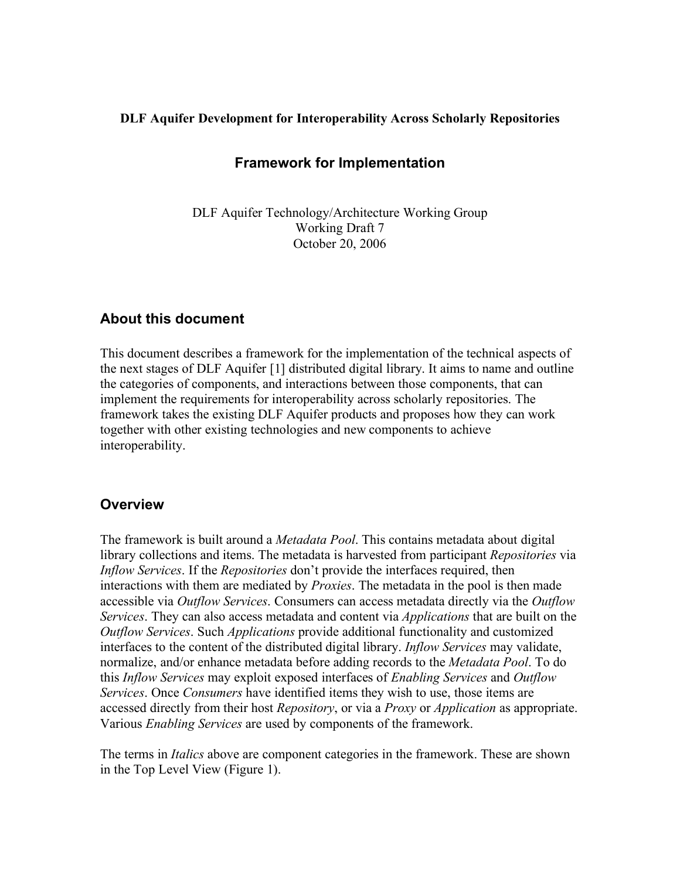### **DLF Aquifer Development for Interoperability Across Scholarly Repositories**

## **Framework for Implementation**

DLF Aquifer Technology/Architecture Working Group Working Draft 7 October 20, 2006

## **About this document**

This document describes a framework for the implementation of the technical aspects of the next stages of DLF Aquifer [1] distributed digital library. It aims to name and outline the categories of components, and interactions between those components, that can implement the requirements for interoperability across scholarly repositories. The framework takes the existing DLF Aquifer products and proposes how they can work together with other existing technologies and new components to achieve interoperability.

## **Overview**

The framework is built around a *Metadata Pool*. This contains metadata about digital library collections and items. The metadata is harvested from participant *Repositories* via *Inflow Services*. If the *Repositories* don't provide the interfaces required, then interactions with them are mediated by *Proxies*. The metadata in the pool is then made accessible via *Outflow Services*. Consumers can access metadata directly via the *Outflow Services*. They can also access metadata and content via *Applications* that are built on the *Outflow Services*. Such *Applications* provide additional functionality and customized interfaces to the content of the distributed digital library. *Inflow Services* may validate, normalize, and/or enhance metadata before adding records to the *Metadata Pool*. To do this *Inflow Services* may exploit exposed interfaces of *Enabling Services* and *Outflow Services*. Once *Consumers* have identified items they wish to use, those items are accessed directly from their host *Repository*, or via a *Proxy* or *Application* as appropriate. Various *Enabling Services* are used by components of the framework.

The terms in *Italics* above are component categories in the framework. These are shown in the Top Level View (Figure 1).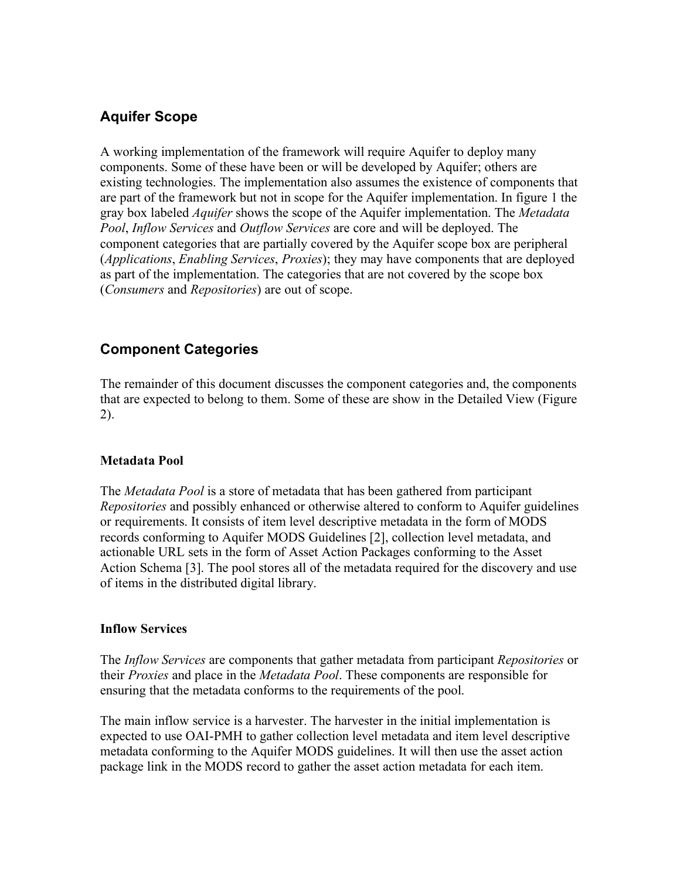# **Aquifer Scope**

A working implementation of the framework will require Aquifer to deploy many components. Some of these have been or will be developed by Aquifer; others are existing technologies. The implementation also assumes the existence of components that are part of the framework but not in scope for the Aquifer implementation. In figure 1 the gray box labeled *Aquifer* shows the scope of the Aquifer implementation. The *Metadata Pool*, *Inflow Services* and *Outflow Services* are core and will be deployed. The component categories that are partially covered by the Aquifer scope box are peripheral (*Applications*, *Enabling Services*, *Proxies*); they may have components that are deployed as part of the implementation. The categories that are not covered by the scope box (*Consumers* and *Repositories*) are out of scope.

# **Component Categories**

The remainder of this document discusses the component categories and, the components that are expected to belong to them. Some of these are show in the Detailed View (Figure 2).

## **Metadata Pool**

The *Metadata Pool* is a store of metadata that has been gathered from participant *Repositories* and possibly enhanced or otherwise altered to conform to Aquifer guidelines or requirements. It consists of item level descriptive metadata in the form of MODS records conforming to Aquifer MODS Guidelines [2], collection level metadata, and actionable URL sets in the form of Asset Action Packages conforming to the Asset Action Schema [3]. The pool stores all of the metadata required for the discovery and use of items in the distributed digital library.

#### **Inflow Services**

The *Inflow Services* are components that gather metadata from participant *Repositories* or their *Proxies* and place in the *Metadata Pool*. These components are responsible for ensuring that the metadata conforms to the requirements of the pool.

The main inflow service is a harvester. The harvester in the initial implementation is expected to use OAI-PMH to gather collection level metadata and item level descriptive metadata conforming to the Aquifer MODS guidelines. It will then use the asset action package link in the MODS record to gather the asset action metadata for each item.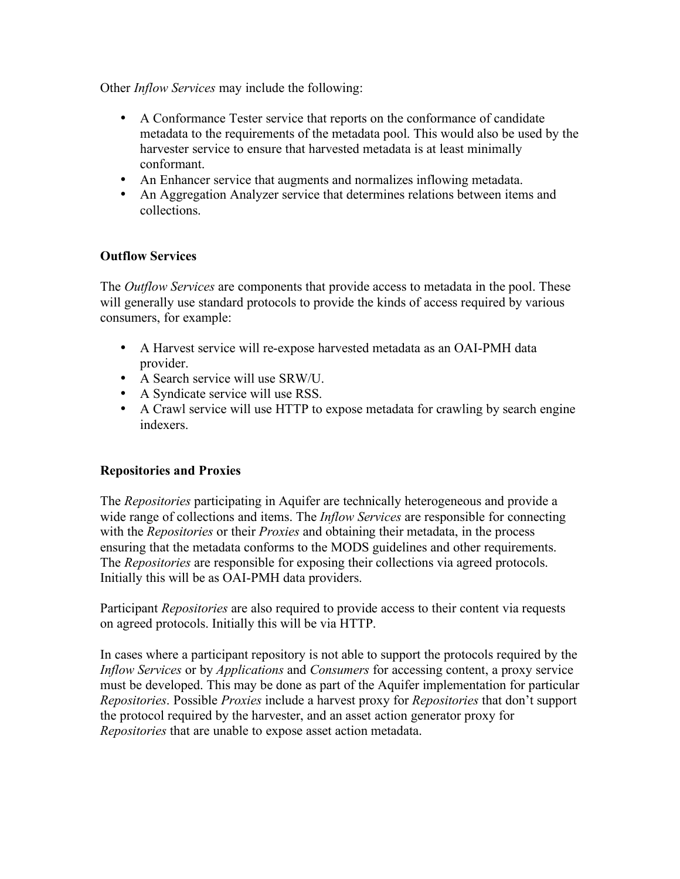Other *Inflow Services* may include the following:

- A Conformance Tester service that reports on the conformance of candidate metadata to the requirements of the metadata pool. This would also be used by the harvester service to ensure that harvested metadata is at least minimally conformant.
- An Enhancer service that augments and normalizes inflowing metadata.
- An Aggregation Analyzer service that determines relations between items and collections.

## **Outflow Services**

The *Outflow Services* are components that provide access to metadata in the pool. These will generally use standard protocols to provide the kinds of access required by various consumers, for example:

- A Harvest service will re-expose harvested metadata as an OAI-PMH data provider.
- A Search service will use SRW/U.
- A Syndicate service will use RSS.
- A Crawl service will use HTTP to expose metadata for crawling by search engine indexers.

## **Repositories and Proxies**

The *Repositories* participating in Aquifer are technically heterogeneous and provide a wide range of collections and items. The *Inflow Services* are responsible for connecting with the *Repositories* or their *Proxies* and obtaining their metadata, in the process ensuring that the metadata conforms to the MODS guidelines and other requirements. The *Repositories* are responsible for exposing their collections via agreed protocols. Initially this will be as OAI-PMH data providers.

Participant *Repositories* are also required to provide access to their content via requests on agreed protocols. Initially this will be via HTTP.

In cases where a participant repository is not able to support the protocols required by the *Inflow Services* or by *Applications* and *Consumers* for accessing content, a proxy service must be developed. This may be done as part of the Aquifer implementation for particular *Repositories*. Possible *Proxies* include a harvest proxy for *Repositories* that don't support the protocol required by the harvester, and an asset action generator proxy for *Repositories* that are unable to expose asset action metadata.